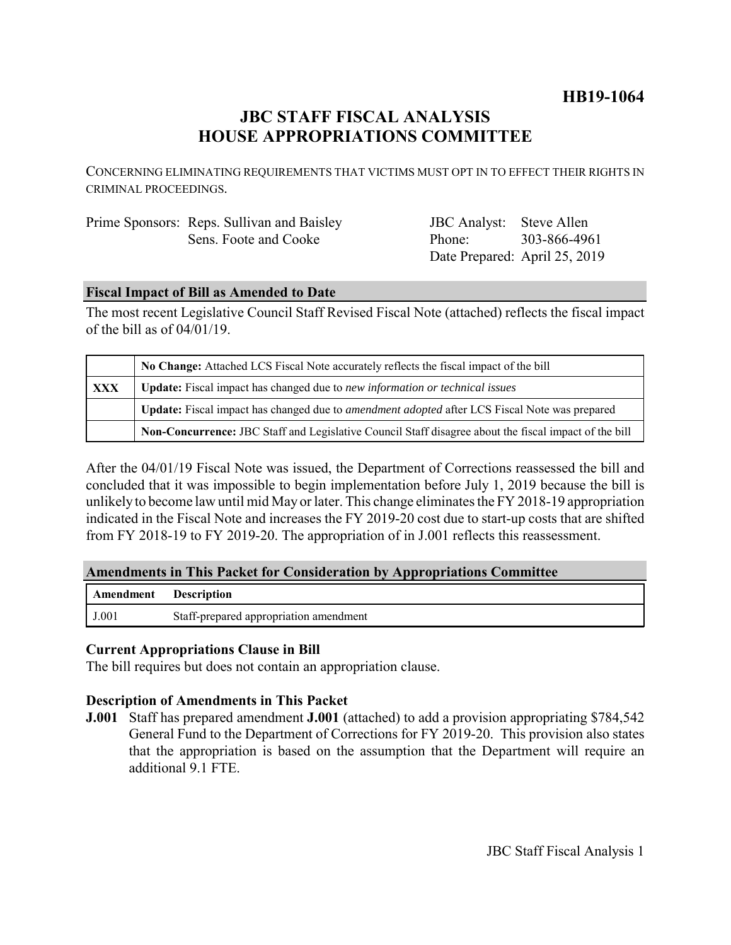## **HB19-1064**

# **JBC STAFF FISCAL ANALYSIS HOUSE APPROPRIATIONS COMMITTEE**

CONCERNING ELIMINATING REQUIREMENTS THAT VICTIMS MUST OPT IN TO EFFECT THEIR RIGHTS IN CRIMINAL PROCEEDINGS.

| Prime Sponsors: Reps. Sullivan and Baisley | JBC Analyst: Steve Allen      |              |
|--------------------------------------------|-------------------------------|--------------|
| Sens. Foote and Cooke                      | Phone:                        | 303-866-4961 |
|                                            | Date Prepared: April 25, 2019 |              |

#### **Fiscal Impact of Bill as Amended to Date**

The most recent Legislative Council Staff Revised Fiscal Note (attached) reflects the fiscal impact of the bill as of 04/01/19.

|            | No Change: Attached LCS Fiscal Note accurately reflects the fiscal impact of the bill                       |  |
|------------|-------------------------------------------------------------------------------------------------------------|--|
| <b>XXX</b> | <b>Update:</b> Fiscal impact has changed due to new information or technical issues                         |  |
|            | <b>Update:</b> Fiscal impact has changed due to <i>amendment adopted</i> after LCS Fiscal Note was prepared |  |
|            | Non-Concurrence: JBC Staff and Legislative Council Staff disagree about the fiscal impact of the bill       |  |

After the 04/01/19 Fiscal Note was issued, the Department of Corrections reassessed the bill and concluded that it was impossible to begin implementation before July 1, 2019 because the bill is unlikely to become law until mid May or later. This change eliminates the FY 2018-19 appropriation indicated in the Fiscal Note and increases the FY 2019-20 cost due to start-up costs that are shifted from FY 2018-19 to FY 2019-20. The appropriation of in J.001 reflects this reassessment.

#### **Amendments in This Packet for Consideration by Appropriations Committee**

| <b>Amendment</b> Description |                                        |
|------------------------------|----------------------------------------|
| J.001                        | Staff-prepared appropriation amendment |

#### **Current Appropriations Clause in Bill**

The bill requires but does not contain an appropriation clause.

#### **Description of Amendments in This Packet**

**J.001** Staff has prepared amendment **J.001** (attached) to add a provision appropriating \$784,542 General Fund to the Department of Corrections for FY 2019-20. This provision also states that the appropriation is based on the assumption that the Department will require an additional 9.1 FTE.